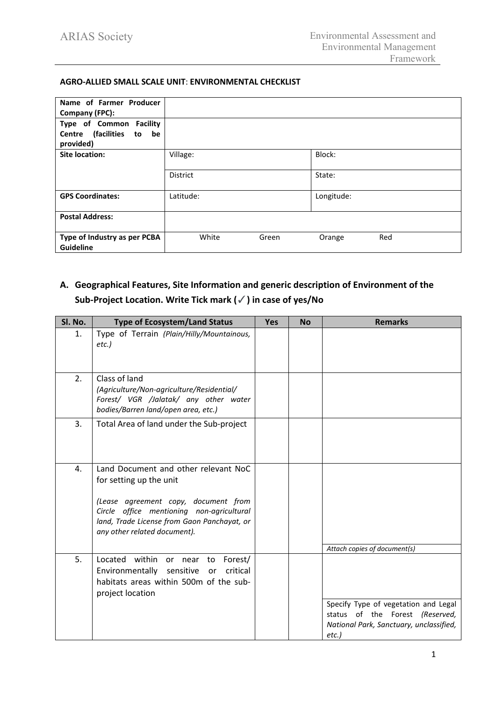### **AGRO-ALLIED SMALL SCALE UNIT**: **ENVIRONMENTAL CHECKLIST**

| Name of Farmer Producer<br>Company (FPC):                              |                 |       |            |     |
|------------------------------------------------------------------------|-----------------|-------|------------|-----|
| Type of Common Facility<br>Centre (facilities<br>be<br>to<br>provided) |                 |       |            |     |
| Site location:                                                         | Village:        |       | Block:     |     |
|                                                                        | <b>District</b> |       | State:     |     |
| <b>GPS Coordinates:</b>                                                | Latitude:       |       | Longitude: |     |
| <b>Postal Address:</b>                                                 |                 |       |            |     |
| Type of Industry as per PCBA<br><b>Guideline</b>                       | White           | Green | Orange     | Red |

# **A. Geographical Features, Site Information and generic description of Environment of the Sub-Project Location. Write Tick mark (**✓**) in case of yes/No**

| Sl. No. | <b>Type of Ecosystem/Land Status</b>                                                                                                                                                                                                | <b>Yes</b> | <b>No</b> | <b>Remarks</b>                                                                                                              |
|---------|-------------------------------------------------------------------------------------------------------------------------------------------------------------------------------------------------------------------------------------|------------|-----------|-----------------------------------------------------------------------------------------------------------------------------|
| 1.      | Type of Terrain (Plain/Hilly/Mountainous,<br>$etc.$ )                                                                                                                                                                               |            |           |                                                                                                                             |
| 2.      | Class of land<br>(Agriculture/Non-agriculture/Residential/<br>Forest/ VGR /Jalatak/ any other water<br>bodies/Barren land/open area, etc.)                                                                                          |            |           |                                                                                                                             |
| 3.      | Total Area of land under the Sub-project                                                                                                                                                                                            |            |           |                                                                                                                             |
| 4.      | Land Document and other relevant NoC<br>for setting up the unit<br>(Lease agreement copy, document from<br>Circle office mentioning non-agricultural<br>land, Trade License from Gaon Panchayat, or<br>any other related document). |            |           | Attach copies of document(s)                                                                                                |
| 5.      | Located within<br>Forest/<br>or near to<br>critical<br>Environmentally<br>sensitive<br>or<br>habitats areas within 500m of the sub-<br>project location                                                                             |            |           | Specify Type of vegetation and Legal<br>status of the Forest (Reserved,<br>National Park, Sanctuary, unclassified,<br>etc.) |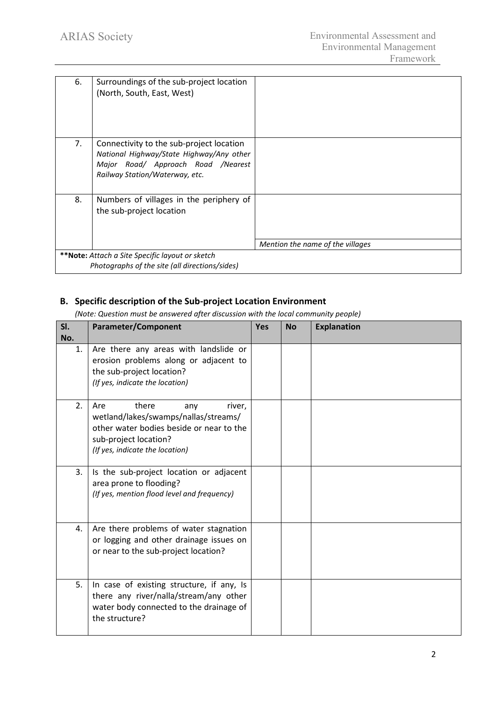| 6. | Surroundings of the sub-project location<br>(North, South, East, West)               |                                  |
|----|--------------------------------------------------------------------------------------|----------------------------------|
|    |                                                                                      |                                  |
|    |                                                                                      |                                  |
| 7. | Connectivity to the sub-project location<br>National Highway/State Highway/Any other |                                  |
|    | Major Road/ Approach Road /Nearest<br>Railway Station/Waterway, etc.                 |                                  |
|    |                                                                                      |                                  |
| 8. | Numbers of villages in the periphery of                                              |                                  |
|    | the sub-project location                                                             |                                  |
|    |                                                                                      |                                  |
|    |                                                                                      | Mention the name of the villages |
|    | **Note: Attach a Site Specific layout or sketch                                      |                                  |
|    | Photographs of the site (all directions/sides)                                       |                                  |

# **B. Specific description of the Sub-project Location Environment**

*(Note: Question must be answered after discussion with the local community people)*

| SI.<br>No. | <b>Parameter/Component</b>                                                                                                                                                    | <b>Yes</b> | No | <b>Explanation</b> |
|------------|-------------------------------------------------------------------------------------------------------------------------------------------------------------------------------|------------|----|--------------------|
| 1.         | Are there any areas with landslide or<br>erosion problems along or adjacent to<br>the sub-project location?<br>(If yes, indicate the location)                                |            |    |                    |
| 2.         | there<br>Are<br>river,<br>any<br>wetland/lakes/swamps/nallas/streams/<br>other water bodies beside or near to the<br>sub-project location?<br>(If yes, indicate the location) |            |    |                    |
| 3.         | Is the sub-project location or adjacent<br>area prone to flooding?<br>(If yes, mention flood level and frequency)                                                             |            |    |                    |
| 4.         | Are there problems of water stagnation<br>or logging and other drainage issues on<br>or near to the sub-project location?                                                     |            |    |                    |
| 5.         | In case of existing structure, if any, Is<br>there any river/nalla/stream/any other<br>water body connected to the drainage of<br>the structure?                              |            |    |                    |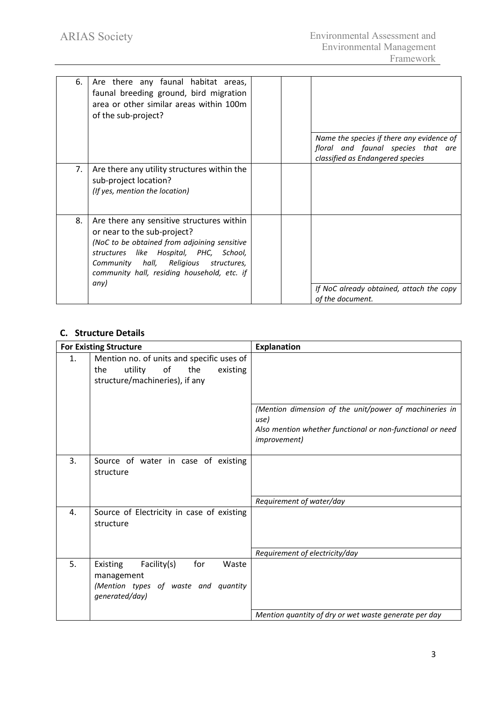| 6. | Are there any faunal habitat areas,<br>faunal breeding ground, bird migration<br>area or other similar areas within 100m<br>of the sub-project?                                                                                                               |                                                                        |
|----|---------------------------------------------------------------------------------------------------------------------------------------------------------------------------------------------------------------------------------------------------------------|------------------------------------------------------------------------|
|    |                                                                                                                                                                                                                                                               | Name the species if there any evidence of                              |
|    |                                                                                                                                                                                                                                                               | floral and faunal species that are<br>classified as Endangered species |
| 7. | Are there any utility structures within the<br>sub-project location?<br>(If yes, mention the location)                                                                                                                                                        |                                                                        |
| 8. | Are there any sensitive structures within<br>or near to the sub-project?<br>(NoC to be obtained from adjoining sensitive<br>structures like Hospital, PHC, School,<br>Community hall, Religious<br>structures,<br>community hall, residing household, etc. if |                                                                        |
|    | any)                                                                                                                                                                                                                                                          | If NoC already obtained, attach the copy<br>of the document.           |

# **C. Structure Details**

|                | <b>For Existing Structure</b>                                                                                          | <b>Explanation</b>                                                                                                                                 |
|----------------|------------------------------------------------------------------------------------------------------------------------|----------------------------------------------------------------------------------------------------------------------------------------------------|
| $\mathbf{1}$ . | Mention no. of units and specific uses of<br>utility<br>of<br>the<br>existing<br>the<br>structure/machineries), if any |                                                                                                                                                    |
|                |                                                                                                                        | (Mention dimension of the unit/power of machineries in<br>use)<br>Also mention whether functional or non-functional or need<br><i>improvement)</i> |
| 3.             | Source of water in case of existing<br>structure                                                                       |                                                                                                                                                    |
|                |                                                                                                                        | Requirement of water/day                                                                                                                           |
| 4.             | Source of Electricity in case of existing<br>structure                                                                 |                                                                                                                                                    |
|                |                                                                                                                        | Requirement of electricity/day                                                                                                                     |
| 5.             | Facility(s)<br>for<br>Waste<br>Existing<br>management<br>(Mention types of waste and quantity<br>generated/day)        |                                                                                                                                                    |
|                |                                                                                                                        | Mention quantity of dry or wet waste generate per day                                                                                              |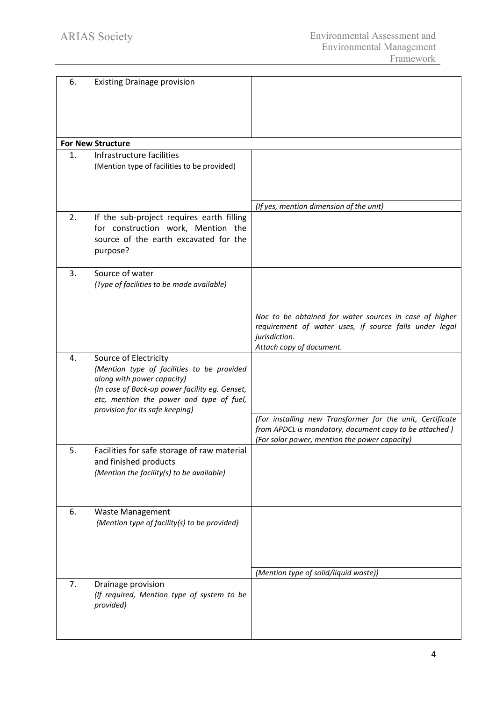| 6. | <b>Existing Drainage provision</b>                                       |                                                                                                         |
|----|--------------------------------------------------------------------------|---------------------------------------------------------------------------------------------------------|
|    |                                                                          |                                                                                                         |
|    |                                                                          |                                                                                                         |
|    |                                                                          |                                                                                                         |
|    |                                                                          |                                                                                                         |
|    | <b>For New Structure</b>                                                 |                                                                                                         |
| 1. | Infrastructure facilities                                                |                                                                                                         |
|    | (Mention type of facilities to be provided)                              |                                                                                                         |
|    |                                                                          |                                                                                                         |
|    |                                                                          |                                                                                                         |
|    |                                                                          | (If yes, mention dimension of the unit)                                                                 |
| 2. | If the sub-project requires earth filling                                |                                                                                                         |
|    | for construction work, Mention the                                       |                                                                                                         |
|    | source of the earth excavated for the                                    |                                                                                                         |
|    | purpose?                                                                 |                                                                                                         |
|    |                                                                          |                                                                                                         |
| 3. | Source of water                                                          |                                                                                                         |
|    | (Type of facilities to be made available)                                |                                                                                                         |
|    |                                                                          |                                                                                                         |
|    |                                                                          | Noc to be obtained for water sources in case of higher                                                  |
|    |                                                                          | requirement of water uses, if source falls under legal                                                  |
|    |                                                                          | jurisdiction.                                                                                           |
|    |                                                                          | Attach copy of document.                                                                                |
| 4. | Source of Electricity                                                    |                                                                                                         |
|    | (Mention type of facilities to be provided<br>along with power capacity) |                                                                                                         |
|    | (In case of Back-up power facility eg. Genset,                           |                                                                                                         |
|    | etc, mention the power and type of fuel,                                 |                                                                                                         |
|    | provision for its safe keeping)                                          |                                                                                                         |
|    |                                                                          | (For installing new Transformer for the unit, Certificate                                               |
|    |                                                                          | from APDCL is mandatory, document copy to be attached)<br>(For solar power, mention the power capacity) |
| 5. | Facilities for safe storage of raw material                              |                                                                                                         |
|    | and finished products                                                    |                                                                                                         |
|    | (Mention the facility(s) to be available)                                |                                                                                                         |
|    |                                                                          |                                                                                                         |
|    |                                                                          |                                                                                                         |
| 6. | <b>Waste Management</b>                                                  |                                                                                                         |
|    | (Mention type of facility(s) to be provided)                             |                                                                                                         |
|    |                                                                          |                                                                                                         |
|    |                                                                          |                                                                                                         |
|    |                                                                          |                                                                                                         |
|    |                                                                          | (Mention type of solid/liquid waste))                                                                   |
| 7. | Drainage provision                                                       |                                                                                                         |
|    | (If required, Mention type of system to be                               |                                                                                                         |
|    | provided)                                                                |                                                                                                         |
|    |                                                                          |                                                                                                         |
|    |                                                                          |                                                                                                         |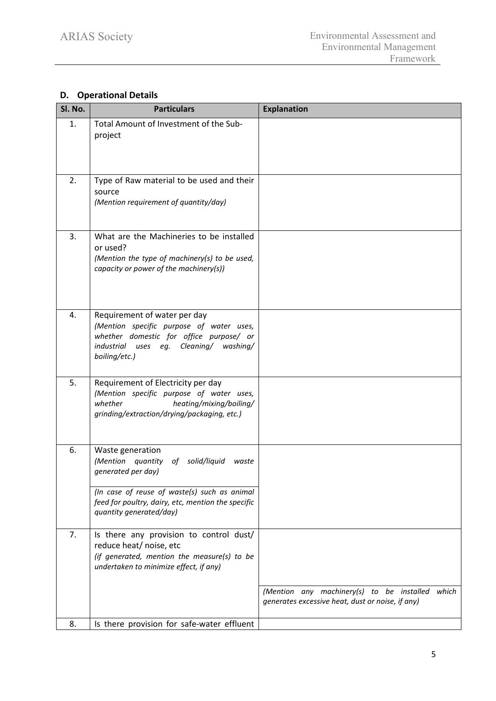# **D. Operational Details**

| Sl. No. | <b>Particulars</b>                                                                                                                                                                            | <b>Explanation</b>                                                                                  |
|---------|-----------------------------------------------------------------------------------------------------------------------------------------------------------------------------------------------|-----------------------------------------------------------------------------------------------------|
| 1.      | Total Amount of Investment of the Sub-<br>project                                                                                                                                             |                                                                                                     |
| 2.      | Type of Raw material to be used and their<br>source<br>(Mention requirement of quantity/day)                                                                                                  |                                                                                                     |
| 3.      | What are the Machineries to be installed<br>or used?<br>(Mention the type of machinery(s) to be used,<br>capacity or power of the machinery(s))                                               |                                                                                                     |
| 4.      | Requirement of water per day<br>(Mention specific purpose of water uses,<br>whether domestic for office purpose/ or<br>industrial uses eg.<br>Cleaning/<br>washing/<br>boiling/etc.)          |                                                                                                     |
| 5.      | Requirement of Electricity per day<br>(Mention specific purpose of water uses,<br>whether<br>heating/mixing/boiling/<br>grinding/extraction/drying/packaging, etc.)                           |                                                                                                     |
| 6.      | Waste generation<br>(Mention quantity of<br>solid/liquid<br>waste<br>generated per day)<br>(In case of reuse of waste(s) such as animal<br>feed for poultry, dairy, etc, mention the specific |                                                                                                     |
|         | quantity generated/day)                                                                                                                                                                       |                                                                                                     |
| 7.      | Is there any provision to control dust/<br>reduce heat/ noise, etc<br>(if generated, mention the measure(s) to be<br>undertaken to minimize effect, if any)                                   |                                                                                                     |
|         |                                                                                                                                                                                               | (Mention any machinery(s) to be installed which<br>generates excessive heat, dust or noise, if any) |
| 8.      | Is there provision for safe-water effluent                                                                                                                                                    |                                                                                                     |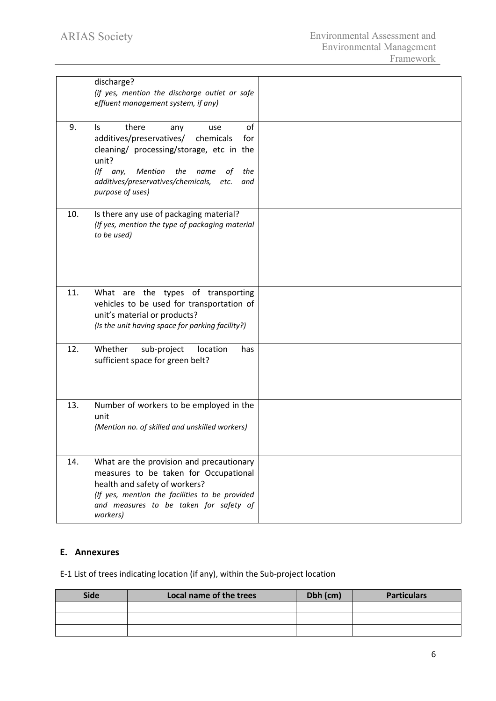|     | discharge?<br>(if yes, mention the discharge outlet or safe<br>effluent management system, if any)                                                                                                                                                            |  |
|-----|---------------------------------------------------------------------------------------------------------------------------------------------------------------------------------------------------------------------------------------------------------------|--|
| 9.  | of<br>there<br>ls.<br>any<br>use<br>additives/preservatives/<br>chemicals<br>for<br>cleaning/ processing/storage, etc in the<br>unit?<br>$($ f any,<br>Mention the name<br>the<br>оt<br>additives/preservatives/chemicals,<br>etc.<br>and<br>purpose of uses) |  |
| 10. | Is there any use of packaging material?<br>(If yes, mention the type of packaging material<br>to be used)                                                                                                                                                     |  |
| 11. | What are the types of transporting<br>vehicles to be used for transportation of<br>unit's material or products?<br>(Is the unit having space for parking facility?)                                                                                           |  |
| 12. | Whether<br>sub-project<br>location<br>has<br>sufficient space for green belt?                                                                                                                                                                                 |  |
| 13. | Number of workers to be employed in the<br>unit<br>(Mention no. of skilled and unskilled workers)                                                                                                                                                             |  |
| 14. | What are the provision and precautionary<br>measures to be taken for Occupational<br>health and safety of workers?<br>(If yes, mention the facilities to be provided<br>and measures to be taken for safety of<br>workers)                                    |  |

## **E. Annexures**

E-1 List of trees indicating location (if any), within the Sub-project location

| <b>Side</b> | Local name of the trees | Dbh (cm) | <b>Particulars</b> |
|-------------|-------------------------|----------|--------------------|
|             |                         |          |                    |
|             |                         |          |                    |
|             |                         |          |                    |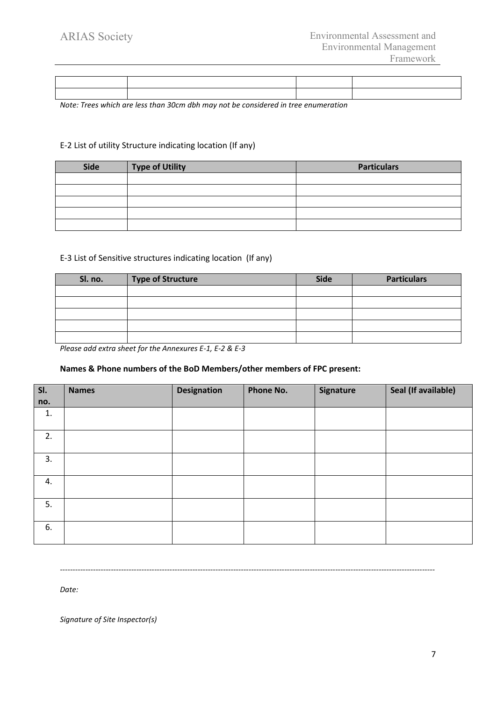*Note: Trees which are less than 30cm dbh may not be considered in tree enumeration*

### E-2 List of utility Structure indicating location (If any)

| Side | <b>Type of Utility</b> | <b>Particulars</b> |
|------|------------------------|--------------------|
|      |                        |                    |
|      |                        |                    |
|      |                        |                    |
|      |                        |                    |
|      |                        |                    |

### E-3 List of Sensitive structures indicating location (If any)

| Sl. no. | <b>Type of Structure</b> | <b>Side</b> | <b>Particulars</b> |
|---------|--------------------------|-------------|--------------------|
|         |                          |             |                    |
|         |                          |             |                    |
|         |                          |             |                    |
|         |                          |             |                    |
|         |                          |             |                    |

*Please add extra sheet for the Annexures E-1, E-2 & E-3*

### **Names & Phone numbers of the BoD Members/other members of FPC present:**

| SI. | <b>Names</b> | <b>Designation</b> | Phone No. | <b>Signature</b> | Seal (If available) |
|-----|--------------|--------------------|-----------|------------------|---------------------|
| no. |              |                    |           |                  |                     |
| 1.  |              |                    |           |                  |                     |
| 2.  |              |                    |           |                  |                     |
| 3.  |              |                    |           |                  |                     |
| 4.  |              |                    |           |                  |                     |
| 5.  |              |                    |           |                  |                     |
| 6.  |              |                    |           |                  |                     |

*---------------------------------------------------------------------------------------------------------------------------------------------------*

*Date:*

*Signature of Site Inspector(s)*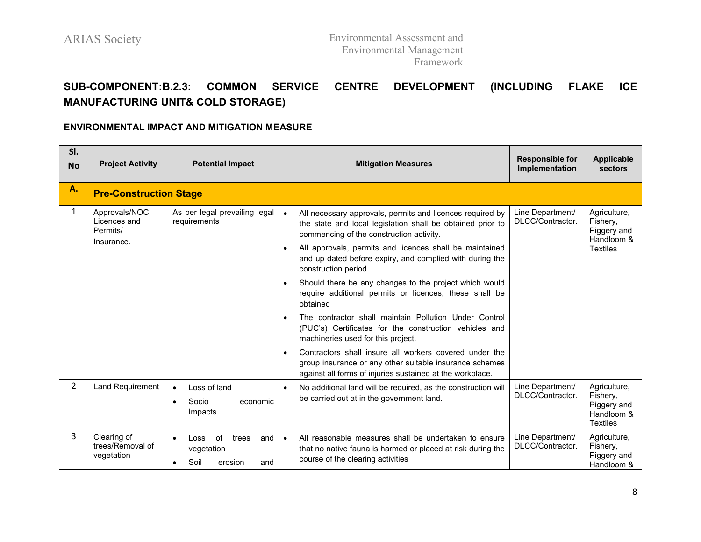# **SUB-COMPONENT:B.2.3: COMMON SERVICE CENTRE DEVELOPMENT (INCLUDING FLAKE ICE MANUFACTURING UNIT& COLD STORAGE)**

### **ENVIRONMENTAL IMPACT AND MITIGATION MEASURE**

| SI.<br><b>No</b> | <b>Project Activity</b>                                 | <b>Potential Impact</b>                                            | <b>Mitigation Measures</b>                                                                                                                                                                                                                                                                                                                                                                                                                                                                                                                                                                                                                                                                                                                                                                                 | <b>Responsible for</b><br>Implementation | <b>Applicable</b><br>sectors                                             |
|------------------|---------------------------------------------------------|--------------------------------------------------------------------|------------------------------------------------------------------------------------------------------------------------------------------------------------------------------------------------------------------------------------------------------------------------------------------------------------------------------------------------------------------------------------------------------------------------------------------------------------------------------------------------------------------------------------------------------------------------------------------------------------------------------------------------------------------------------------------------------------------------------------------------------------------------------------------------------------|------------------------------------------|--------------------------------------------------------------------------|
| А.               | <b>Pre-Construction Stage</b>                           |                                                                    |                                                                                                                                                                                                                                                                                                                                                                                                                                                                                                                                                                                                                                                                                                                                                                                                            |                                          |                                                                          |
| $\mathbf{1}$     | Approvals/NOC<br>Licences and<br>Permits/<br>Insurance. | As per legal prevailing legal<br>requirements                      | All necessary approvals, permits and licences required by<br>$\bullet$<br>the state and local legislation shall be obtained prior to<br>commencing of the construction activity.<br>All approvals, permits and licences shall be maintained<br>and up dated before expiry, and complied with during the<br>construction period.<br>Should there be any changes to the project which would<br>require additional permits or licences, these shall be<br>obtained<br>The contractor shall maintain Pollution Under Control<br>(PUC's) Certificates for the construction vehicles and<br>machineries used for this project.<br>Contractors shall insure all workers covered under the<br>group insurance or any other suitable insurance schemes<br>against all forms of injuries sustained at the workplace. | Line Department/<br>DLCC/Contractor.     | Agriculture,<br>Fishery,<br>Piggery and<br>Handloom &<br><b>Textiles</b> |
| $\overline{2}$   | Land Requirement                                        | Loss of land<br>$\bullet$<br>Socio<br>economic<br>Impacts          | No additional land will be required, as the construction will<br>be carried out at in the government land.                                                                                                                                                                                                                                                                                                                                                                                                                                                                                                                                                                                                                                                                                                 | Line Department/<br>DLCC/Contractor.     | Agriculture,<br>Fishery,<br>Piggery and<br>Handloom &<br><b>Textiles</b> |
| 3                | Clearing of<br>trees/Removal of<br>vegetation           | of<br>Loss<br>and<br>trees<br>vegetation<br>Soil<br>erosion<br>and | All reasonable measures shall be undertaken to ensure<br>$\bullet$<br>that no native fauna is harmed or placed at risk during the<br>course of the clearing activities                                                                                                                                                                                                                                                                                                                                                                                                                                                                                                                                                                                                                                     | Line Department/<br>DLCC/Contractor.     | Agriculture,<br>Fishery,<br>Piggery and<br>Handloom &                    |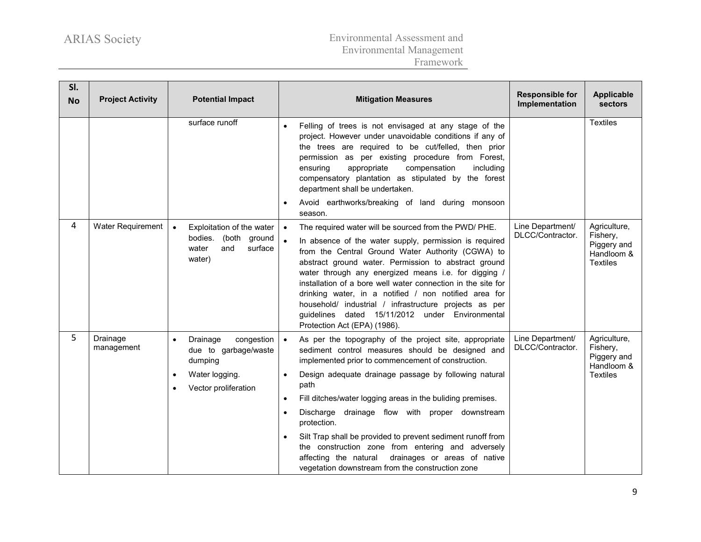| SI.<br><b>No</b> | <b>Project Activity</b> | <b>Potential Impact</b>                                                                                                       | <b>Mitigation Measures</b>                                                                                                                                                                                                                                                                                                                                                                                                                                                                                                                                                                                     | <b>Responsible for</b><br>Implementation | <b>Applicable</b><br>sectors                                             |
|------------------|-------------------------|-------------------------------------------------------------------------------------------------------------------------------|----------------------------------------------------------------------------------------------------------------------------------------------------------------------------------------------------------------------------------------------------------------------------------------------------------------------------------------------------------------------------------------------------------------------------------------------------------------------------------------------------------------------------------------------------------------------------------------------------------------|------------------------------------------|--------------------------------------------------------------------------|
|                  |                         | surface runoff                                                                                                                | Felling of trees is not envisaged at any stage of the<br>$\bullet$<br>project. However under unavoidable conditions if any of<br>the trees are required to be cut/felled, then prior<br>permission as per existing procedure from Forest,<br>ensuring<br>appropriate<br>compensation<br>including<br>compensatory plantation as stipulated by the forest<br>department shall be undertaken.<br>Avoid earthworks/breaking of land during monsoon<br>season.                                                                                                                                                     |                                          | <b>Textiles</b>                                                          |
| 4                | Water Requirement       | Exploitation of the water<br>bodies. (both ground<br>and<br>surface<br>water<br>water)                                        | The required water will be sourced from the PWD/ PHE.<br>$\bullet$<br>In absence of the water supply, permission is required<br>from the Central Ground Water Authority (CGWA) to<br>abstract ground water. Permission to abstract ground<br>water through any energized means i.e. for digging /<br>installation of a bore well water connection in the site for<br>drinking water, in a notified / non notified area for<br>household/ industrial / infrastructure projects as per<br>guidelines dated 15/11/2012 under Environmental<br>Protection Act (EPA) (1986).                                        | Line Department/<br>DLCC/Contractor.     | Agriculture,<br>Fishery,<br>Piggery and<br>Handloom &<br><b>Textiles</b> |
| 5                | Drainage<br>management  | Drainage<br>congestion<br>$\bullet$<br>due to garbage/waste<br>dumping<br>Water logging.<br>$\bullet$<br>Vector proliferation | As per the topography of the project site, appropriate<br>$\bullet$<br>sediment control measures should be designed and<br>implemented prior to commencement of construction.<br>Design adequate drainage passage by following natural<br>path<br>Fill ditches/water logging areas in the buliding premises.<br>Discharge<br>drainage flow with proper downstream<br>protection.<br>Silt Trap shall be provided to prevent sediment runoff from<br>the construction zone from entering and adversely<br>affecting the natural drainages or areas of native<br>vegetation downstream from the construction zone | Line Department/<br>DLCC/Contractor.     | Agriculture,<br>Fishery,<br>Piggery and<br>Handloom &<br><b>Textiles</b> |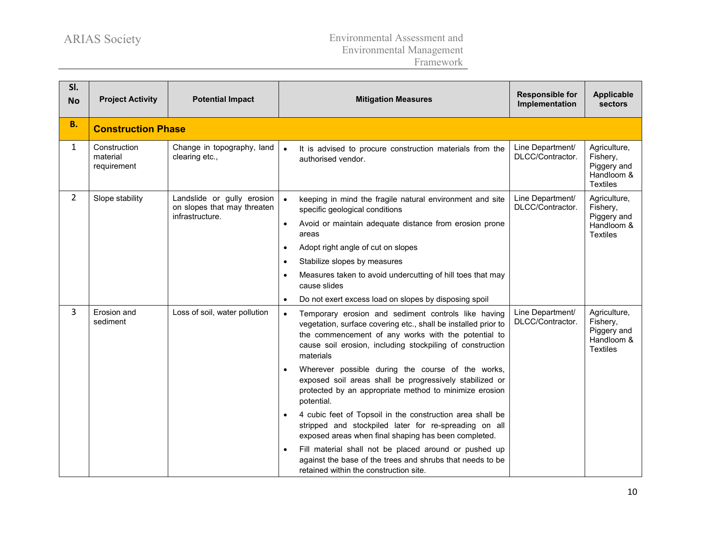| SI.<br><b>No</b> | <b>Project Activity</b>                 | <b>Potential Impact</b>                                                      |                                                  | <b>Mitigation Measures</b>                                                                                                                                                                                                                                                                                                                                                                                                                                                                                                                                                                                                                                                                                                                                                                   | <b>Responsible for</b><br>Implementation | <b>Applicable</b><br>sectors                                             |
|------------------|-----------------------------------------|------------------------------------------------------------------------------|--------------------------------------------------|----------------------------------------------------------------------------------------------------------------------------------------------------------------------------------------------------------------------------------------------------------------------------------------------------------------------------------------------------------------------------------------------------------------------------------------------------------------------------------------------------------------------------------------------------------------------------------------------------------------------------------------------------------------------------------------------------------------------------------------------------------------------------------------------|------------------------------------------|--------------------------------------------------------------------------|
| <b>B.</b>        | <b>Construction Phase</b>               |                                                                              |                                                  |                                                                                                                                                                                                                                                                                                                                                                                                                                                                                                                                                                                                                                                                                                                                                                                              |                                          |                                                                          |
| $\mathbf{1}$     | Construction<br>material<br>requirement | Change in topography, land<br>clearing etc.,                                 | $\bullet$                                        | It is advised to procure construction materials from the<br>authorised vendor.                                                                                                                                                                                                                                                                                                                                                                                                                                                                                                                                                                                                                                                                                                               | Line Department/<br>DLCC/Contractor.     | Agriculture,<br>Fishery,<br>Piggery and<br>Handloom &<br><b>Textiles</b> |
| $\overline{2}$   | Slope stability                         | Landslide or gully erosion<br>on slopes that may threaten<br>infrastructure. | $\bullet$<br>$\bullet$<br>$\bullet$<br>$\bullet$ | keeping in mind the fragile natural environment and site<br>specific geological conditions<br>Avoid or maintain adequate distance from erosion prone<br>areas<br>Adopt right angle of cut on slopes<br>Stabilize slopes by measures<br>Measures taken to avoid undercutting of hill toes that may<br>cause slides<br>Do not exert excess load on slopes by disposing spoil                                                                                                                                                                                                                                                                                                                                                                                                                   | Line Department/<br>DLCC/Contractor.     | Agriculture,<br>Fishery,<br>Piggery and<br>Handloom &<br><b>Textiles</b> |
| 3                | Erosion and<br>sediment                 | Loss of soil, water pollution                                                | $\bullet$                                        | Temporary erosion and sediment controls like having<br>vegetation, surface covering etc., shall be installed prior to<br>the commencement of any works with the potential to<br>cause soil erosion, including stockpiling of construction<br>materials<br>Wherever possible during the course of the works,<br>exposed soil areas shall be progressively stabilized or<br>protected by an appropriate method to minimize erosion<br>potential.<br>4 cubic feet of Topsoil in the construction area shall be<br>stripped and stockpiled later for re-spreading on all<br>exposed areas when final shaping has been completed.<br>Fill material shall not be placed around or pushed up<br>against the base of the trees and shrubs that needs to be<br>retained within the construction site. | Line Department/<br>DLCC/Contractor.     | Agriculture,<br>Fishery,<br>Piggery and<br>Handloom &<br><b>Textiles</b> |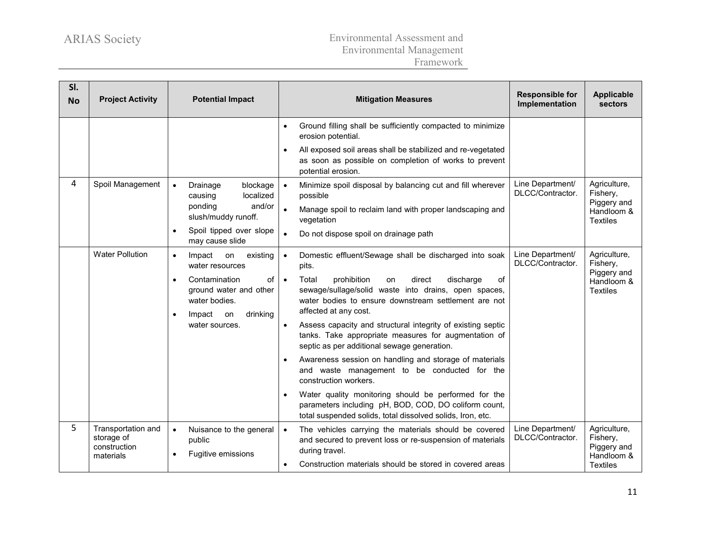| SI.<br><b>No</b> | <b>Project Activity</b>                                       | <b>Potential Impact</b>                                                                                              |                        | <b>Mitigation Measures</b>                                                                                                                                                                       | <b>Responsible for</b><br>Implementation | <b>Applicable</b><br>sectors                          |
|------------------|---------------------------------------------------------------|----------------------------------------------------------------------------------------------------------------------|------------------------|--------------------------------------------------------------------------------------------------------------------------------------------------------------------------------------------------|------------------------------------------|-------------------------------------------------------|
|                  |                                                               |                                                                                                                      | $\bullet$              | Ground filling shall be sufficiently compacted to minimize<br>erosion potential.                                                                                                                 |                                          |                                                       |
|                  |                                                               |                                                                                                                      |                        | All exposed soil areas shall be stabilized and re-vegetated<br>as soon as possible on completion of works to prevent<br>potential erosion.                                                       |                                          |                                                       |
| 4                | Spoil Management                                              | Drainage<br>blockage<br>$\bullet$<br>localized<br>causing<br>and/or<br>ponding                                       | $\bullet$<br>$\bullet$ | Minimize spoil disposal by balancing cut and fill wherever<br>possible                                                                                                                           | Line Department/<br>DLCC/Contractor.     | Agriculture,<br>Fishery,<br>Piggery and               |
|                  |                                                               | slush/muddy runoff.                                                                                                  |                        | Manage spoil to reclaim land with proper landscaping and<br>vegetation                                                                                                                           |                                          | Handloom &<br><b>Textiles</b>                         |
|                  |                                                               | Spoil tipped over slope<br>$\bullet$<br>may cause slide                                                              |                        | Do not dispose spoil on drainage path                                                                                                                                                            |                                          |                                                       |
|                  | <b>Water Pollution</b>                                        | existing<br>Impact<br>on<br>$\bullet$<br>water resources                                                             | $\bullet$              | Domestic effluent/Sewage shall be discharged into soak<br>pits.                                                                                                                                  | Line Department/<br>DLCC/Contractor.     | Agriculture,<br>Fishery,                              |
|                  |                                                               | Contamination<br>of<br>$\bullet$<br>ground water and other<br>water bodies.<br>drinking<br>Impact<br>on<br>$\bullet$ | $\bullet$              | Total<br>prohibition<br>direct<br>discharge<br>of<br>on<br>sewage/sullage/solid waste into drains, open spaces,<br>water bodies to ensure downstream settlement are not<br>affected at any cost. |                                          | Piggery and<br>Handloom &<br><b>Textiles</b>          |
|                  |                                                               | water sources.                                                                                                       |                        | Assess capacity and structural integrity of existing septic<br>tanks. Take appropriate measures for augmentation of<br>septic as per additional sewage generation.                               |                                          |                                                       |
|                  |                                                               |                                                                                                                      |                        | Awareness session on handling and storage of materials<br>and waste management to be conducted for the<br>construction workers.                                                                  |                                          |                                                       |
|                  |                                                               |                                                                                                                      |                        | Water quality monitoring should be performed for the<br>parameters including pH, BOD, COD, DO coliform count,<br>total suspended solids, total dissolved solids, Iron, etc.                      |                                          |                                                       |
| 5                | Transportation and<br>storage of<br>construction<br>materials | Nuisance to the general<br>$\bullet$<br>public<br>Fugitive emissions<br>$\bullet$                                    | $\bullet$              | The vehicles carrying the materials should be covered<br>and secured to prevent loss or re-suspension of materials<br>during travel.                                                             | Line Department/<br>DLCC/Contractor.     | Agriculture,<br>Fishery,<br>Piggery and<br>Handloom & |
|                  |                                                               |                                                                                                                      |                        | Construction materials should be stored in covered areas                                                                                                                                         |                                          | <b>Textiles</b>                                       |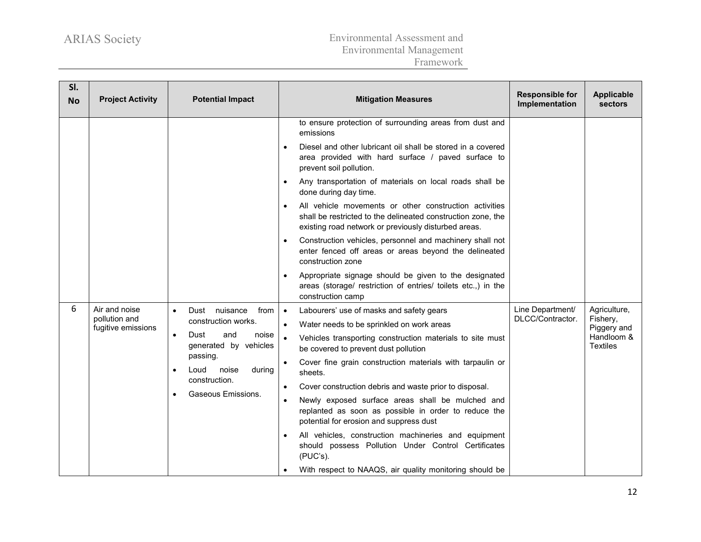| SI.<br><b>No</b> | <b>Project Activity</b>                              | <b>Potential Impact</b>                                                                                                                                                                               | <b>Mitigation Measures</b>                                                                                                                                                                                                                                                                                                                                                                                                                                                                                                                                                                                                                                                                                                                                                          | <b>Responsible for</b><br>Implementation | Applicable<br>sectors                                                    |
|------------------|------------------------------------------------------|-------------------------------------------------------------------------------------------------------------------------------------------------------------------------------------------------------|-------------------------------------------------------------------------------------------------------------------------------------------------------------------------------------------------------------------------------------------------------------------------------------------------------------------------------------------------------------------------------------------------------------------------------------------------------------------------------------------------------------------------------------------------------------------------------------------------------------------------------------------------------------------------------------------------------------------------------------------------------------------------------------|------------------------------------------|--------------------------------------------------------------------------|
|                  |                                                      |                                                                                                                                                                                                       | to ensure protection of surrounding areas from dust and<br>emissions<br>Diesel and other lubricant oil shall be stored in a covered<br>area provided with hard surface / paved surface to<br>prevent soil pollution.<br>Any transportation of materials on local roads shall be<br>done during day time.<br>All vehicle movements or other construction activities<br>shall be restricted to the delineated construction zone, the<br>existing road network or previously disturbed areas.<br>Construction vehicles, personnel and machinery shall not<br>enter fenced off areas or areas beyond the delineated<br>construction zone<br>Appropriate signage should be given to the designated<br>areas (storage/ restriction of entries/ toilets etc.,) in the<br>construction camp |                                          |                                                                          |
| 6                | Air and noise<br>pollution and<br>fugitive emissions | Dust nuisance<br>from<br>$\bullet$<br>construction works.<br>Dust<br>noise<br>and<br>$\bullet$<br>generated by vehicles<br>passing.<br>during<br>Loud<br>noise<br>construction.<br>Gaseous Emissions. | Labourers' use of masks and safety gears<br>$\bullet$<br>Water needs to be sprinkled on work areas<br>$\bullet$<br>$\bullet$<br>Vehicles transporting construction materials to site must<br>be covered to prevent dust pollution<br>Cover fine grain construction materials with tarpaulin or<br>$\bullet$<br>sheets.<br>Cover construction debris and waste prior to disposal.<br>Newly exposed surface areas shall be mulched and<br>$\bullet$<br>replanted as soon as possible in order to reduce the<br>potential for erosion and suppress dust<br>All vehicles, construction machineries and equipment<br>should possess Pollution Under Control Certificates<br>(PUC's).<br>With respect to NAAQS, air quality monitoring should be                                          | Line Department/<br>DLCC/Contractor.     | Agriculture,<br>Fishery,<br>Piggery and<br>Handloom &<br><b>Textiles</b> |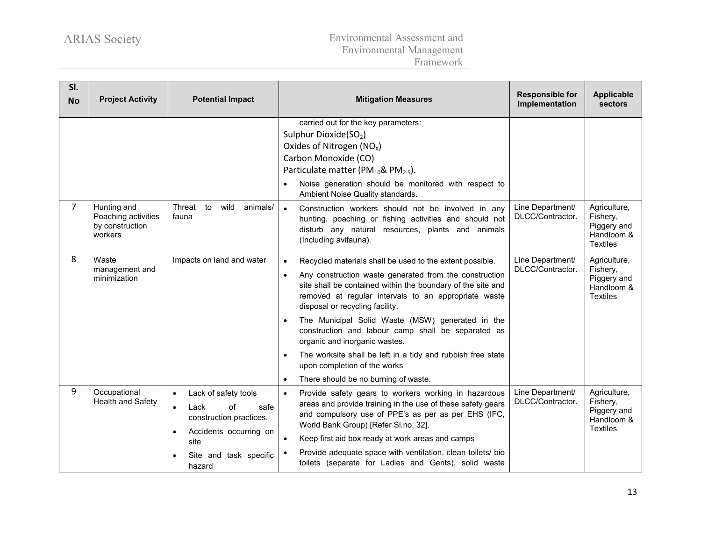| SI.<br><b>No</b> | <b>Project Activity</b>                                          | <b>Potential Impact</b>                                                                                                                | <b>Mitigation Measures</b>                                                                                                                                                                                                                                                                | <b>Responsible for</b><br>Implementation | <b>Applicable</b><br>sectors                                             |
|------------------|------------------------------------------------------------------|----------------------------------------------------------------------------------------------------------------------------------------|-------------------------------------------------------------------------------------------------------------------------------------------------------------------------------------------------------------------------------------------------------------------------------------------|------------------------------------------|--------------------------------------------------------------------------|
|                  |                                                                  |                                                                                                                                        | carried out for the key parameters:<br>Sulphur Dioxide(SO <sub>2</sub> )<br>Oxides of Nitrogen $(NOx)$<br>Carbon Monoxide (CO)<br>Particulate matter (PM $_{10}$ & PM $_{2.5}$ ).<br>Noise generation should be monitored with respect to<br>Ambient Noise Quality standards.             |                                          |                                                                          |
| $\overline{7}$   | Hunting and<br>Poaching activities<br>by construction<br>workers | Threat to<br>wild<br>animals/<br>fauna                                                                                                 | Construction workers should not be involved in any<br>$\bullet$<br>hunting, poaching or fishing activities and should not<br>disturb any natural resources, plants and animals<br>(Including avifauna).                                                                                   | Line Department/<br>DLCC/Contractor.     | Agriculture,<br>Fishery,<br>Piggery and<br>Handloom &<br><b>Textiles</b> |
| 8                | Waste<br>management and<br>minimization                          | Impacts on land and water                                                                                                              | Recycled materials shall be used to the extent possible.<br>$\bullet$<br>Any construction waste generated from the construction<br>site shall be contained within the boundary of the site and<br>removed at regular intervals to an appropriate waste<br>disposal or recycling facility. | Line Department/<br>DLCC/Contractor.     | Agriculture,<br>Fishery,<br>Piggery and<br>Handloom &<br><b>Textiles</b> |
|                  |                                                                  |                                                                                                                                        | The Municipal Solid Waste (MSW) generated in the<br>construction and labour camp shall be separated as<br>organic and inorganic wastes.                                                                                                                                                   |                                          |                                                                          |
|                  |                                                                  |                                                                                                                                        | The worksite shall be left in a tidy and rubbish free state<br>$\bullet$<br>upon completion of the works<br>There should be no burning of waste.<br>$\bullet$                                                                                                                             |                                          |                                                                          |
| 9                | Occupational<br>Health and Safety                                | Lack of safety tools<br>$\bullet$<br>Lack<br>of<br>safe<br>$\bullet$<br>construction practices.<br>Accidents occurring on<br>$\bullet$ | Provide safety gears to workers working in hazardous<br>$\bullet$<br>areas and provide training in the use of these safety gears<br>and compulsory use of PPE's as per as per EHS (IFC,<br>World Bank Group) [Refer SI.no. 32].                                                           | Line Department/<br>DLCC/Contractor.     | Agriculture,<br>Fishery,<br>Piggery and<br>Handloom &<br><b>Textiles</b> |
|                  |                                                                  | site<br>Site and task specific<br>hazard                                                                                               | Keep first aid box ready at work areas and camps<br>$\bullet$<br>Provide adequate space with ventilation, clean toilets/ bio<br>toilets (separate for Ladies and Gents), solid waste                                                                                                      |                                          |                                                                          |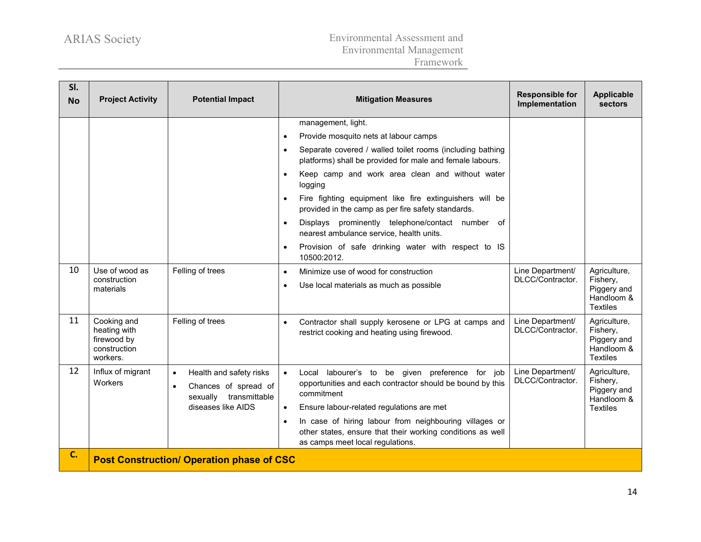| SI.<br><b>No</b> | <b>Project Activity</b>                                                | <b>Potential Impact</b>                                                                                                   | <b>Mitigation Measures</b>                                                                                                                                                                                                                                                                                                                                                                                                                                                                                                                                                        | <b>Responsible for</b><br>Implementation | Applicable<br><b>sectors</b>                                             |  |  |  |
|------------------|------------------------------------------------------------------------|---------------------------------------------------------------------------------------------------------------------------|-----------------------------------------------------------------------------------------------------------------------------------------------------------------------------------------------------------------------------------------------------------------------------------------------------------------------------------------------------------------------------------------------------------------------------------------------------------------------------------------------------------------------------------------------------------------------------------|------------------------------------------|--------------------------------------------------------------------------|--|--|--|
|                  |                                                                        |                                                                                                                           | management, light.<br>Provide mosquito nets at labour camps<br>Separate covered / walled toilet rooms (including bathing<br>$\bullet$<br>platforms) shall be provided for male and female labours.<br>Keep camp and work area clean and without water<br>logging<br>Fire fighting equipment like fire extinguishers will be<br>$\bullet$<br>provided in the camp as per fire safety standards.<br>Displays prominently telephone/contact number of<br>$\bullet$<br>nearest ambulance service, health units.<br>Provision of safe drinking water with respect to IS<br>10500:2012. |                                          |                                                                          |  |  |  |
| 10               | Use of wood as<br>construction<br>materials                            | Felling of trees                                                                                                          | Minimize use of wood for construction<br>$\bullet$<br>Use local materials as much as possible                                                                                                                                                                                                                                                                                                                                                                                                                                                                                     | Line Department/<br>DLCC/Contractor.     | Agriculture,<br>Fishery,<br>Piggery and<br>Handloom &<br><b>Textiles</b> |  |  |  |
| 11               | Cooking and<br>heating with<br>firewood by<br>construction<br>workers. | Felling of trees                                                                                                          | Contractor shall supply kerosene or LPG at camps and<br>$\bullet$<br>restrict cooking and heating using firewood.                                                                                                                                                                                                                                                                                                                                                                                                                                                                 | Line Department/<br>DLCC/Contractor.     | Agriculture,<br>Fishery,<br>Piggery and<br>Handloom &<br><b>Textiles</b> |  |  |  |
| 12               | Influx of migrant<br>Workers                                           | Health and safety risks<br>$\bullet$<br>Chances of spread of<br>$\bullet$<br>sexually transmittable<br>diseases like AIDS | Local labourer's to be given preference for job<br>$\bullet$<br>opportunities and each contractor should be bound by this<br>commitment<br>Ensure labour-related regulations are met<br>$\bullet$<br>In case of hiring labour from neighbouring villages or<br>$\bullet$<br>other states, ensure that their working conditions as well<br>as camps meet local regulations.                                                                                                                                                                                                        | Line Department/<br>DLCC/Contractor.     | Agriculture,<br>Fishery,<br>Piggery and<br>Handloom &<br><b>Textiles</b> |  |  |  |
| C.               | <b>Post Construction/ Operation phase of CSC</b>                       |                                                                                                                           |                                                                                                                                                                                                                                                                                                                                                                                                                                                                                                                                                                                   |                                          |                                                                          |  |  |  |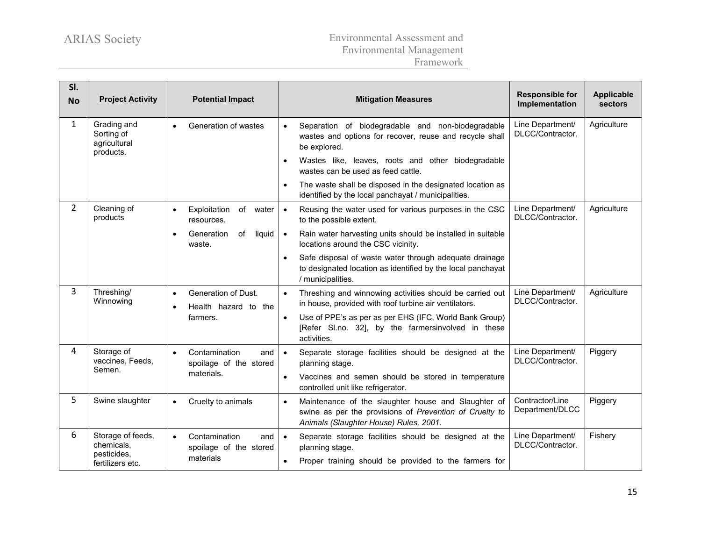| SI.<br><b>No</b> | <b>Project Activity</b>                                | <b>Potential Impact</b>                                     | <b>Mitigation Measures</b>                                                                                                                                            | <b>Responsible for</b><br>Implementation | <b>Applicable</b><br>sectors |
|------------------|--------------------------------------------------------|-------------------------------------------------------------|-----------------------------------------------------------------------------------------------------------------------------------------------------------------------|------------------------------------------|------------------------------|
| 1                | Grading and<br>Sorting of<br>agricultural<br>products. | Generation of wastes<br>$\bullet$                           | Separation of biodegradable and non-biodegradable<br>$\bullet$<br>wastes and options for recover, reuse and recycle shall<br>be explored.                             | Line Department/<br>DLCC/Contractor.     | Agriculture                  |
|                  |                                                        |                                                             | Wastes like, leaves, roots and other biodegradable<br>wastes can be used as feed cattle.                                                                              |                                          |                              |
|                  |                                                        |                                                             | The waste shall be disposed in the designated location as<br>identified by the local panchayat / municipalities.                                                      |                                          |                              |
| $\overline{2}$   | Cleaning of<br>products                                | Exploitation<br>of<br>water<br>$\bullet$<br>resources.      | Reusing the water used for various purposes in the CSC<br>$\bullet$<br>to the possible extent.                                                                        | Line Department/<br>DLCC/Contractor.     | Agriculture                  |
|                  |                                                        | Generation<br>of<br>liquid<br>$\bullet$<br>waste.           | Rain water harvesting units should be installed in suitable<br>$\bullet$<br>locations around the CSC vicinity.                                                        |                                          |                              |
|                  |                                                        |                                                             | Safe disposal of waste water through adequate drainage<br>to designated location as identified by the local panchayat<br>/ municipalities.                            |                                          |                              |
| 3                | Threshing/<br>Winnowing                                | Generation of Dust.<br>$\bullet$<br>Health hazard to the    | Threshing and winnowing activities should be carried out<br>$\bullet$<br>in house, provided with roof turbine air ventilators.                                        | Line Department/<br>DLCC/Contractor.     | Agriculture                  |
|                  |                                                        | farmers.                                                    | Use of PPE's as per as per EHS (IFC, World Bank Group)<br>$\bullet$<br>[Refer SI.no. 32], by the farmersinvolved in these<br>activities.                              |                                          |                              |
| 4                | Storage of<br>vaccines, Feeds,                         | Contamination<br>and<br>$\bullet$<br>spoilage of the stored | Separate storage facilities should be designed at the<br>$\bullet$<br>planning stage.                                                                                 | Line Department/<br>DLCC/Contractor.     | Piggery                      |
|                  | Semen.                                                 | materials.                                                  | Vaccines and semen should be stored in temperature<br>controlled unit like refrigerator.                                                                              |                                          |                              |
| 5                | Swine slaughter                                        | Cruelty to animals<br>$\bullet$                             | Maintenance of the slaughter house and Slaughter of<br>$\bullet$<br>swine as per the provisions of Prevention of Cruelty to<br>Animals (Slaughter House) Rules, 2001. | Contractor/Line<br>Department/DLCC       | Piggery                      |
| 6                | Storage of feeds,<br>chemicals,<br>pesticides,         | Contamination<br>$\bullet$<br>and<br>spoilage of the stored | Separate storage facilities should be designed at the<br>$\bullet$<br>planning stage.                                                                                 | Line Department/<br>DLCC/Contractor.     | Fishery                      |
|                  | fertilizers etc.                                       | materials                                                   | Proper training should be provided to the farmers for                                                                                                                 |                                          |                              |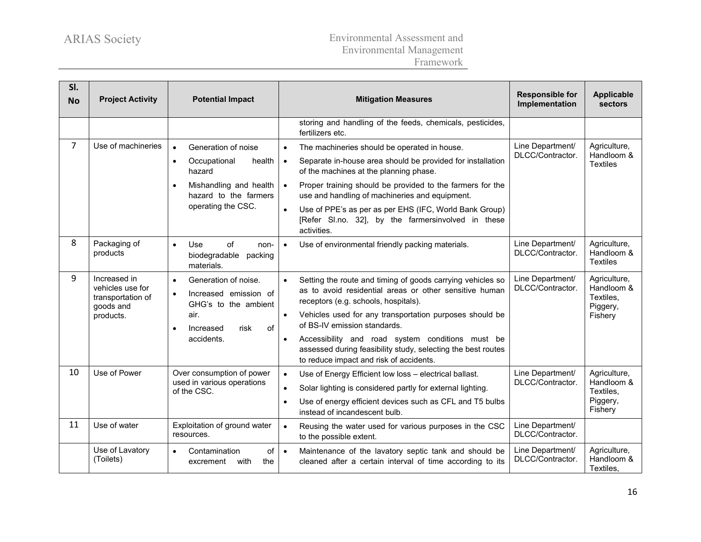| SI.<br><b>No</b> | <b>Project Activity</b>                                                         | <b>Potential Impact</b>                                                                                                                                                 | <b>Mitigation Measures</b>                                                                                                                                                                                                                                                                                                                                                                                                                                    | <b>Responsible for</b><br>Implementation | <b>Applicable</b><br>sectors                                   |
|------------------|---------------------------------------------------------------------------------|-------------------------------------------------------------------------------------------------------------------------------------------------------------------------|---------------------------------------------------------------------------------------------------------------------------------------------------------------------------------------------------------------------------------------------------------------------------------------------------------------------------------------------------------------------------------------------------------------------------------------------------------------|------------------------------------------|----------------------------------------------------------------|
|                  |                                                                                 |                                                                                                                                                                         | storing and handling of the feeds, chemicals, pesticides,<br>fertilizers etc.                                                                                                                                                                                                                                                                                                                                                                                 |                                          |                                                                |
| $\overline{7}$   | Use of machineries                                                              | Generation of noise<br>$\bullet$<br>health<br>Occupational<br>$\bullet$<br>hazard<br>Mishandling and health<br>$\bullet$<br>hazard to the farmers<br>operating the CSC. | The machineries should be operated in house.<br>$\bullet$<br>Separate in-house area should be provided for installation<br>$\bullet$<br>of the machines at the planning phase.<br>Proper training should be provided to the farmers for the<br>$\bullet$<br>use and handling of machineries and equipment.<br>Use of PPE's as per as per EHS (IFC, World Bank Group)<br>$\bullet$<br>[Refer SI.no. 32], by the farmersinvolved in these<br>activities.        | Line Department/<br>DLCC/Contractor.     | Agriculture,<br>Handloom &<br><b>Textiles</b>                  |
| 8                | Packaging of<br>products                                                        | <b>Use</b><br>of<br>$\bullet$<br>non-<br>biodegradable<br>packing<br>materials.                                                                                         | Use of environmental friendly packing materials.<br>$\bullet$                                                                                                                                                                                                                                                                                                                                                                                                 | Line Department/<br>DLCC/Contractor.     | Agriculture,<br>Handloom &<br><b>Textiles</b>                  |
| 9                | Increased in<br>vehicles use for<br>transportation of<br>goods and<br>products. | Generation of noise.<br>$\bullet$<br>Increased emission of<br>$\bullet$<br>GHG's to the ambient<br>air.<br>of<br>risk<br>Increased<br>$\bullet$<br>accidents.           | Setting the route and timing of goods carrying vehicles so<br>$\bullet$<br>as to avoid residential areas or other sensitive human<br>receptors (e.g. schools, hospitals).<br>Vehicles used for any transportation purposes should be<br>$\bullet$<br>of BS-IV emission standards.<br>Accessibility and road system conditions must be<br>$\bullet$<br>assessed during feasibility study, selecting the best routes<br>to reduce impact and risk of accidents. | Line Department/<br>DLCC/Contractor.     | Agriculture,<br>Handloom &<br>Textiles.<br>Piggery,<br>Fishery |
| 10               | Use of Power                                                                    | Over consumption of power<br>used in various operations<br>of the CSC.                                                                                                  | $\bullet$<br>Use of Energy Efficient low loss - electrical ballast.<br>Solar lighting is considered partly for external lighting.<br>$\bullet$<br>Use of energy efficient devices such as CFL and T5 bulbs<br>instead of incandescent bulb.                                                                                                                                                                                                                   | Line Department/<br>DLCC/Contractor.     | Agriculture,<br>Handloom &<br>Textiles.<br>Piggery,<br>Fishery |
| 11               | Use of water                                                                    | Exploitation of ground water<br>resources.                                                                                                                              | $\bullet$<br>Reusing the water used for various purposes in the CSC<br>to the possible extent.                                                                                                                                                                                                                                                                                                                                                                | Line Department/<br>DLCC/Contractor.     |                                                                |
|                  | Use of Lavatory<br>(Toilets)                                                    | of<br>Contamination<br>$\bullet$<br>with<br>the<br>excrement                                                                                                            | Maintenance of the lavatory septic tank and should be<br>$\bullet$<br>cleaned after a certain interval of time according to its                                                                                                                                                                                                                                                                                                                               | Line Department/<br>DLCC/Contractor.     | Agriculture,<br>Handloom &<br>Textiles,                        |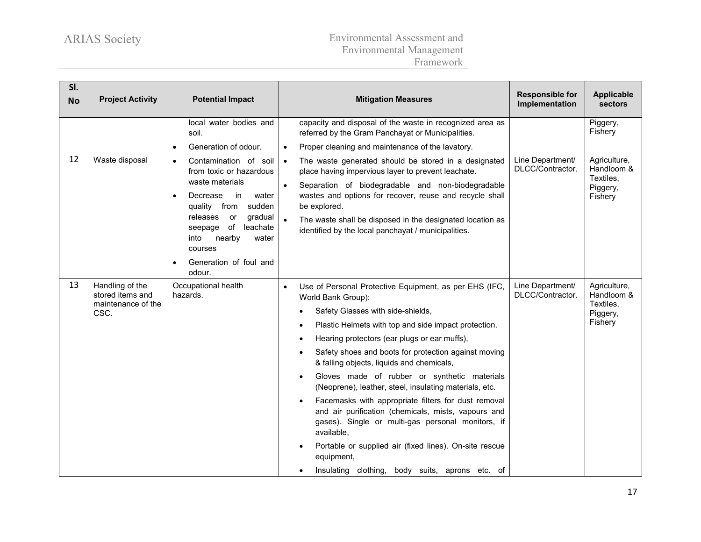| SI.<br><b>No</b> | <b>Project Activity</b>                                           | <b>Potential Impact</b>                                                                                                                                                                                                                                             |                        | <b>Mitigation Measures</b>                                                                                                                                                                                                                                                                                                                                                                                                                                                                                                                                                                                                                                                                                                                                                                            | <b>Responsible for</b><br>Implementation | <b>Applicable</b><br>sectors                                   |
|------------------|-------------------------------------------------------------------|---------------------------------------------------------------------------------------------------------------------------------------------------------------------------------------------------------------------------------------------------------------------|------------------------|-------------------------------------------------------------------------------------------------------------------------------------------------------------------------------------------------------------------------------------------------------------------------------------------------------------------------------------------------------------------------------------------------------------------------------------------------------------------------------------------------------------------------------------------------------------------------------------------------------------------------------------------------------------------------------------------------------------------------------------------------------------------------------------------------------|------------------------------------------|----------------------------------------------------------------|
|                  |                                                                   | local water bodies and<br>soil.                                                                                                                                                                                                                                     |                        | capacity and disposal of the waste in recognized area as<br>referred by the Gram Panchayat or Municipalities.                                                                                                                                                                                                                                                                                                                                                                                                                                                                                                                                                                                                                                                                                         |                                          | Piggery,<br>Fishery                                            |
|                  |                                                                   | Generation of odour.<br>$\bullet$                                                                                                                                                                                                                                   | $\bullet$              | Proper cleaning and maintenance of the lavatory.                                                                                                                                                                                                                                                                                                                                                                                                                                                                                                                                                                                                                                                                                                                                                      |                                          |                                                                |
| 12               | Waste disposal                                                    | Contamination of soil<br>$\bullet$<br>from toxic or hazardous<br>waste materials<br>Decrease<br>in<br>water<br>sudden<br>quality from<br>releases<br>gradual<br><b>or</b><br>leachate<br>seepage of<br>nearby<br>into<br>water<br>courses<br>Generation of foul and | $\bullet$<br>$\bullet$ | The waste generated should be stored in a designated<br>place having impervious layer to prevent leachate.<br>Separation of biodegradable and non-biodegradable<br>wastes and options for recover, reuse and recycle shall<br>be explored.<br>The waste shall be disposed in the designated location as<br>identified by the local panchayat / municipalities.                                                                                                                                                                                                                                                                                                                                                                                                                                        | Line Department/<br>DLCC/Contractor.     | Agriculture,<br>Handloom &<br>Textiles,<br>Piggery,<br>Fishery |
|                  |                                                                   | odour.                                                                                                                                                                                                                                                              |                        |                                                                                                                                                                                                                                                                                                                                                                                                                                                                                                                                                                                                                                                                                                                                                                                                       |                                          |                                                                |
| 13               | Handling of the<br>stored items and<br>maintenance of the<br>CSC. | Occupational health<br>hazards.                                                                                                                                                                                                                                     |                        | Use of Personal Protective Equipment, as per EHS (IFC,<br>World Bank Group):<br>Safety Glasses with side-shields,<br>$\bullet$<br>Plastic Helmets with top and side impact protection.<br>$\bullet$<br>Hearing protectors (ear plugs or ear muffs),<br>٠<br>Safety shoes and boots for protection against moving<br>& falling objects, liquids and chemicals,<br>Gloves made of rubber or synthetic materials<br>$\bullet$<br>(Neoprene), leather, steel, insulating materials, etc.<br>Facemasks with appropriate filters for dust removal<br>and air purification (chemicals, mists, vapours and<br>gases). Single or multi-gas personal monitors, if<br>available,<br>Portable or supplied air (fixed lines). On-site rescue<br>equipment,<br>Insulating clothing, body suits, aprons etc. of<br>٠ | Line Department/<br>DLCC/Contractor.     | Agriculture,<br>Handloom &<br>Textiles.<br>Piggery,<br>Fishery |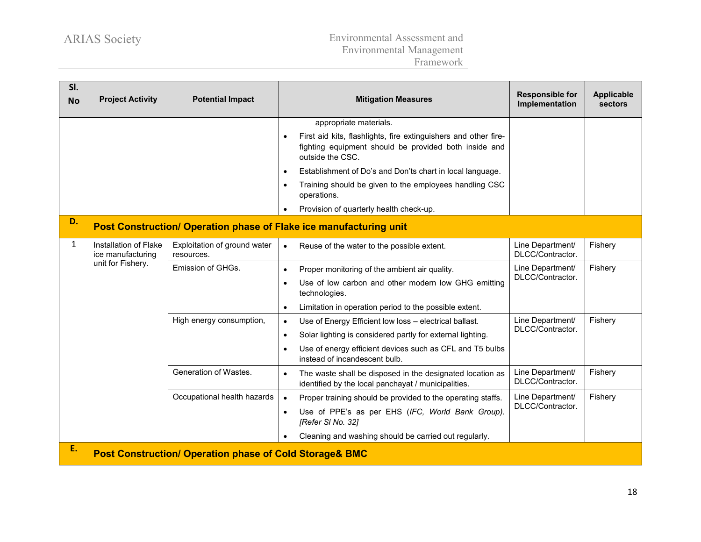| SI.<br><b>No</b> | <b>Project Activity</b>                                            | <b>Potential Impact</b>                    | <b>Mitigation Measures</b>                                                                                                                   | <b>Responsible for</b><br>Implementation | <b>Applicable</b><br>sectors |  |  |  |
|------------------|--------------------------------------------------------------------|--------------------------------------------|----------------------------------------------------------------------------------------------------------------------------------------------|------------------------------------------|------------------------------|--|--|--|
|                  |                                                                    |                                            | appropriate materials.                                                                                                                       |                                          |                              |  |  |  |
|                  |                                                                    |                                            | First aid kits, flashlights, fire extinguishers and other fire-<br>fighting equipment should be provided both inside and<br>outside the CSC. |                                          |                              |  |  |  |
|                  |                                                                    |                                            | Establishment of Do's and Don'ts chart in local language.<br>$\bullet$                                                                       |                                          |                              |  |  |  |
|                  |                                                                    |                                            | Training should be given to the employees handling CSC<br>operations.                                                                        |                                          |                              |  |  |  |
|                  |                                                                    |                                            | Provision of quarterly health check-up.                                                                                                      |                                          |                              |  |  |  |
| D.               | Post Construction/ Operation phase of Flake ice manufacturing unit |                                            |                                                                                                                                              |                                          |                              |  |  |  |
| $\mathbf{1}$     | Installation of Flake<br>ice manufacturing<br>unit for Fishery.    | Exploitation of ground water<br>resources. | Reuse of the water to the possible extent.<br>$\bullet$                                                                                      | Line Department/<br>DLCC/Contractor.     | Fishery                      |  |  |  |
|                  |                                                                    | Emission of GHGs.                          | Proper monitoring of the ambient air quality.<br>$\bullet$                                                                                   | Line Department/                         | Fishery                      |  |  |  |
|                  |                                                                    |                                            | Use of low carbon and other modern low GHG emitting<br>technologies.                                                                         | DLCC/Contractor.                         |                              |  |  |  |
|                  |                                                                    |                                            | Limitation in operation period to the possible extent.<br>$\bullet$                                                                          |                                          |                              |  |  |  |
|                  |                                                                    | High energy consumption,                   | Use of Energy Efficient low loss - electrical ballast.<br>$\bullet$                                                                          | Line Department/<br>DLCC/Contractor.     | Fishery                      |  |  |  |
|                  |                                                                    |                                            | Solar lighting is considered partly for external lighting.<br>$\bullet$                                                                      |                                          |                              |  |  |  |
|                  |                                                                    |                                            | Use of energy efficient devices such as CFL and T5 bulbs<br>instead of incandescent bulb.                                                    |                                          |                              |  |  |  |
|                  |                                                                    | Generation of Wastes.                      | The waste shall be disposed in the designated location as<br>$\bullet$<br>identified by the local panchayat / municipalities.                | Line Department/<br>DLCC/Contractor.     | Fishery                      |  |  |  |
|                  |                                                                    | Occupational health hazards                | Proper training should be provided to the operating staffs.                                                                                  | Line Department/                         | Fishery                      |  |  |  |
|                  |                                                                    |                                            | Use of PPE's as per EHS (IFC, World Bank Group).<br>[Refer SI No. 32]                                                                        | DLCC/Contractor.                         |                              |  |  |  |
|                  |                                                                    |                                            | Cleaning and washing should be carried out regularly.                                                                                        |                                          |                              |  |  |  |
| E.               | <b>Post Construction/ Operation phase of Cold Storage&amp; BMC</b> |                                            |                                                                                                                                              |                                          |                              |  |  |  |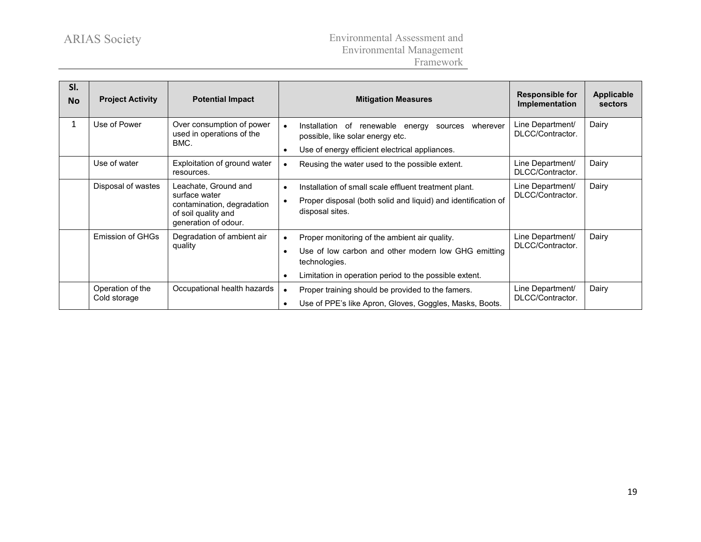| SI.<br><b>No</b> | <b>Project Activity</b>          | <b>Potential Impact</b>                                                                                            | <b>Mitigation Measures</b>                                                                                                                                                      | <b>Responsible for</b><br>Implementation | <b>Applicable</b><br>sectors |
|------------------|----------------------------------|--------------------------------------------------------------------------------------------------------------------|---------------------------------------------------------------------------------------------------------------------------------------------------------------------------------|------------------------------------------|------------------------------|
| 1                | Use of Power                     | Over consumption of power<br>used in operations of the<br>BMC.                                                     | renewable<br>Installation<br>оf<br>wherever<br>energy<br>sources<br>$\bullet$<br>possible, like solar energy etc.                                                               | Line Department/<br>DLCC/Contractor.     | Dairy                        |
|                  |                                  |                                                                                                                    | Use of energy efficient electrical appliances.                                                                                                                                  |                                          |                              |
|                  | Use of water                     | Exploitation of ground water<br>resources.                                                                         | Reusing the water used to the possible extent.                                                                                                                                  | Line Department/<br>DLCC/Contractor.     | Dairy                        |
|                  | Disposal of wastes               | Leachate, Ground and<br>surface water<br>contamination, degradation<br>of soil quality and<br>generation of odour. | Installation of small scale effluent treatment plant.<br>Proper disposal (both solid and liquid) and identification of<br>disposal sites.                                       | Line Department/<br>DLCC/Contractor.     | Dairy                        |
|                  | <b>Emission of GHGs</b>          | Degradation of ambient air<br>quality                                                                              | Proper monitoring of the ambient air quality.<br>Use of low carbon and other modern low GHG emitting<br>technologies.<br>Limitation in operation period to the possible extent. | Line Department/<br>DLCC/Contractor.     | Dairy                        |
|                  | Operation of the<br>Cold storage | Occupational health hazards                                                                                        | Proper training should be provided to the famers.<br>Use of PPE's like Apron, Gloves, Goggles, Masks, Boots.                                                                    | Line Department/<br>DLCC/Contractor.     | Dairy                        |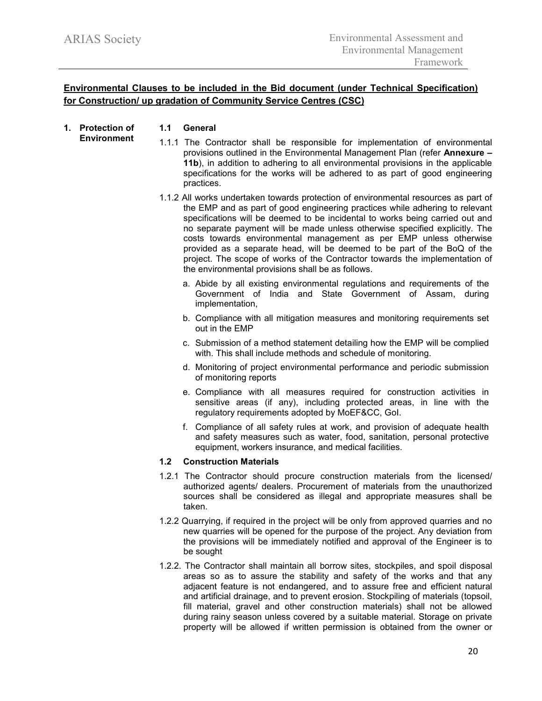## **Environmental Clauses to be included in the Bid document (under Technical Specification) for Construction/ up gradation of Community Service Centres (CSC)**

#### **1. Protection of Environment 1.1 General**

- 1.1.1 The Contractor shall be responsible for implementation of environmental provisions outlined in the Environmental Management Plan (refer **Annexure – 11b**), in addition to adhering to all environmental provisions in the applicable specifications for the works will be adhered to as part of good engineering practices.
- 1.1.2 All works undertaken towards protection of environmental resources as part of the EMP and as part of good engineering practices while adhering to relevant specifications will be deemed to be incidental to works being carried out and no separate payment will be made unless otherwise specified explicitly. The costs towards environmental management as per EMP unless otherwise provided as a separate head, will be deemed to be part of the BoQ of the project. The scope of works of the Contractor towards the implementation of the environmental provisions shall be as follows.
	- a. Abide by all existing environmental regulations and requirements of the Government of India and State Government of Assam, during implementation,
	- b. Compliance with all mitigation measures and monitoring requirements set out in the EMP
	- c. Submission of a method statement detailing how the EMP will be complied with. This shall include methods and schedule of monitoring.
	- d. Monitoring of project environmental performance and periodic submission of monitoring reports
	- e. Compliance with all measures required for construction activities in sensitive areas (if any), including protected areas, in line with the regulatory requirements adopted by MoEF&CC, GoI.
	- f. Compliance of all safety rules at work, and provision of adequate health and safety measures such as water, food, sanitation, personal protective equipment, workers insurance, and medical facilities.

### **1.2 Construction Materials**

- 1.2.1 The Contractor should procure construction materials from the licensed/ authorized agents/ dealers. Procurement of materials from the unauthorized sources shall be considered as illegal and appropriate measures shall be taken.
- 1.2.2 Quarrying, if required in the project will be only from approved quarries and no new quarries will be opened for the purpose of the project. Any deviation from the provisions will be immediately notified and approval of the Engineer is to be sought
- 1.2.2. The Contractor shall maintain all borrow sites, stockpiles, and spoil disposal areas so as to assure the stability and safety of the works and that any adjacent feature is not endangered, and to assure free and efficient natural and artificial drainage, and to prevent erosion. Stockpiling of materials (topsoil, fill material, gravel and other construction materials) shall not be allowed during rainy season unless covered by a suitable material. Storage on private property will be allowed if written permission is obtained from the owner or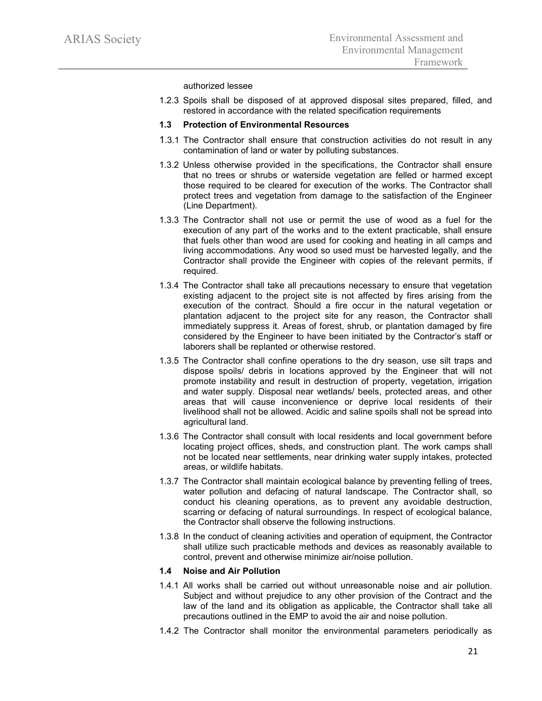authorized lessee

1.2.3 Spoils shall be disposed of at approved disposal sites prepared, filled, and restored in accordance with the related specification requirements

#### **1.3 Protection of Environmental Resources**

- 1.3.1 The Contractor shall ensure that construction activities do not result in any contamination of land or water by polluting substances.
- 1.3.2 Unless otherwise provided in the specifications, the Contractor shall ensure that no trees or shrubs or waterside vegetation are felled or harmed except those required to be cleared for execution of the works. The Contractor shall protect trees and vegetation from damage to the satisfaction of the Engineer (Line Department).
- 1.3.3 The Contractor shall not use or permit the use of wood as a fuel for the execution of any part of the works and to the extent practicable, shall ensure that fuels other than wood are used for cooking and heating in all camps and living accommodations. Any wood so used must be harvested legally, and the Contractor shall provide the Engineer with copies of the relevant permits, if required.
- 1.3.4 The Contractor shall take all precautions necessary to ensure that vegetation existing adjacent to the project site is not affected by fires arising from the execution of the contract. Should a fire occur in the natural vegetation or plantation adjacent to the project site for any reason, the Contractor shall immediately suppress it. Areas of forest, shrub, or plantation damaged by fire considered by the Engineer to have been initiated by the Contractor's staff or laborers shall be replanted or otherwise restored.
- 1.3.5 The Contractor shall confine operations to the dry season, use silt traps and dispose spoils/ debris in locations approved by the Engineer that will not promote instability and result in destruction of property, vegetation, irrigation and water supply. Disposal near wetlands/ beels, protected areas, and other areas that will cause inconvenience or deprive local residents of their livelihood shall not be allowed. Acidic and saline spoils shall not be spread into agricultural land.
- 1.3.6 The Contractor shall consult with local residents and local government before locating project offices, sheds, and construction plant. The work camps shall not be located near settlements, near drinking water supply intakes, protected areas, or wildlife habitats.
- 1.3.7 The Contractor shall maintain ecological balance by preventing felling of trees, water pollution and defacing of natural landscape. The Contractor shall, so conduct his cleaning operations, as to prevent any avoidable destruction, scarring or defacing of natural surroundings. In respect of ecological balance, the Contractor shall observe the following instructions.
- 1.3.8 In the conduct of cleaning activities and operation of equipment, the Contractor shall utilize such practicable methods and devices as reasonably available to control, prevent and otherwise minimize air/noise pollution.

#### **1.4 Noise and Air Pollution**

- 1.4.1 All works shall be carried out without unreasonable noise and air pollution. Subject and without prejudice to any other provision of the Contract and the law of the land and its obligation as applicable, the Contractor shall take all precautions outlined in the EMP to avoid the air and noise pollution.
- 1.4.2 The Contractor shall monitor the environmental parameters periodically as